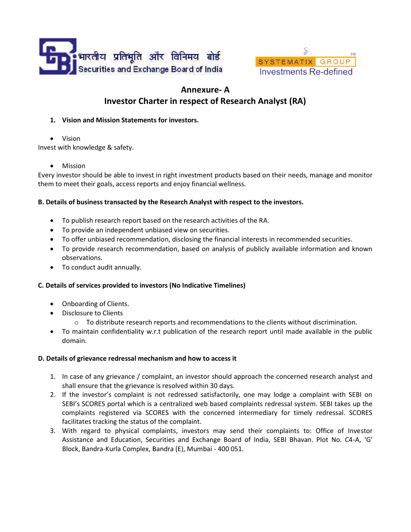



# Investor Charter in respect of Research Analyst (RA) Annexure- A

# 1. Vision and Mission Statements for investors.

Vision

Invest with knowledge & safety.

Mission

Every investor should be able to invest in right investment products based on their needs, manage and monitor them to meet their goals, access reports and enjoy financial wellness.

### B. Details of business transacted by the Research Analyst with respect to the investors.

- To publish research report based on the research activities of the RA.
- To provide an independent unbiased view on securities.
- To offer unbiased recommendation, disclosing the financial interests in recommended securities. To provide an independent unbiased view on securities.<br>To offer unbiased recommendation, disclosing the financial interests in recommended securities.<br>To provide research recommendation, based on analysis of publicly avail
- To provide research recommendation, based on analysis of publicly available information and known observations.
- To conduct audit annually.

# C. Details of services provided to investors (No Indicative Timelines)

- Onboarding of Clients.
- Disclosure to Clients
	- $\circ$  To distribute research reports and recommendations to the clients without discrimination.
- $\circ$  To distribute research reports and recommendations to the clients without discrimination.<br>• To maintain confidentiality w.r.t publication of the research report until made available in the public domain.

#### D. Details of grievance redressal mechanism and how to access it

- 1. In case of any grievance / complaint, an investor should approach the concerned rese research analyst and shall ensure that the grievance is resolved within 30 days.
- 2. If the investor's complaint is not redressed satisfactorily, one may lodge a complaint with SEBI on In case of any grievance / complaint, an investor should approach the concerned research analyst and<br>shall ensure that the grievance is resolved within 30 days.<br>If the investor's complaint is not redressed satisfactorily, complaints registered via SCORES with the concerned intermediary for timely redressal. SCORES facilitates tracking the status of the complaint.
- 3. With regard to physical complaints, investors may send their complaints to: Office of Inve Assistance and Education, Securities and Exchange Board of India, SEBI Bhavan. Plot No. C4-A, 'G' Block, Bandra-Kurla Complex, Bandra (E), Mumbai complaints registered via SCORES with the concerned intermediary for timely redressal. SCO<br>facilitates tracking the status of the complaint.<br>With regard to physical complaints, investors may send their complaints to: Offic Investor